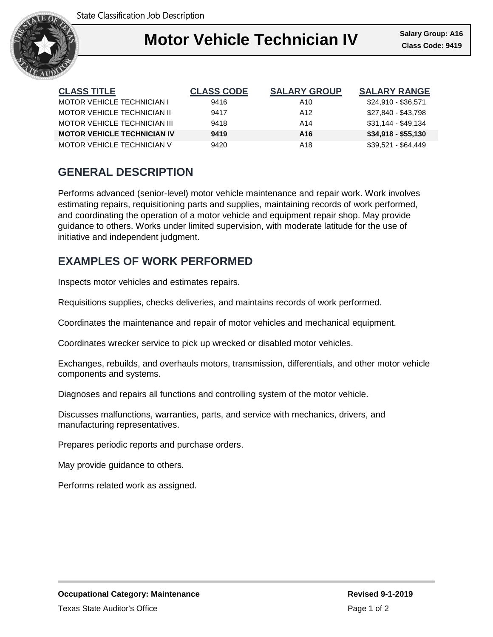

| <b>CLASS TITLE</b>                 | <b>CLASS CODE</b> | <b>SALARY GROUP</b> | <b>SALARY RANGE</b> |
|------------------------------------|-------------------|---------------------|---------------------|
| <b>MOTOR VEHICLE TECHNICIAN I</b>  | 9416              | A10                 | \$24,910 - \$36,571 |
| MOTOR VEHICLE TECHNICIAN II        | 9417              | A12                 | \$27,840 - \$43,798 |
| MOTOR VEHICLE TECHNICIAN III       | 9418              | A14                 | $$31,144 - $49,134$ |
| <b>MOTOR VEHICLE TECHNICIAN IV</b> | 9419              | A16                 | $$34,918 - $55,130$ |
| MOTOR VEHICLE TECHNICIAN V         | 9420              | A18                 | \$39,521 - \$64,449 |

## **GENERAL DESCRIPTION**

Performs advanced (senior-level) motor vehicle maintenance and repair work. Work involves estimating repairs, requisitioning parts and supplies, maintaining records of work performed, and coordinating the operation of a motor vehicle and equipment repair shop. May provide guidance to others. Works under limited supervision, with moderate latitude for the use of initiative and independent judgment.

### **EXAMPLES OF WORK PERFORMED**

Inspects motor vehicles and estimates repairs.

Requisitions supplies, checks deliveries, and maintains records of work performed.

Coordinates the maintenance and repair of motor vehicles and mechanical equipment.

Coordinates wrecker service to pick up wrecked or disabled motor vehicles.

Exchanges, rebuilds, and overhauls motors, transmission, differentials, and other motor vehicle components and systems.

Diagnoses and repairs all functions and controlling system of the motor vehicle.

Discusses malfunctions, warranties, parts, and service with mechanics, drivers, and manufacturing representatives.

Prepares periodic reports and purchase orders.

May provide guidance to others.

Performs related work as assigned.